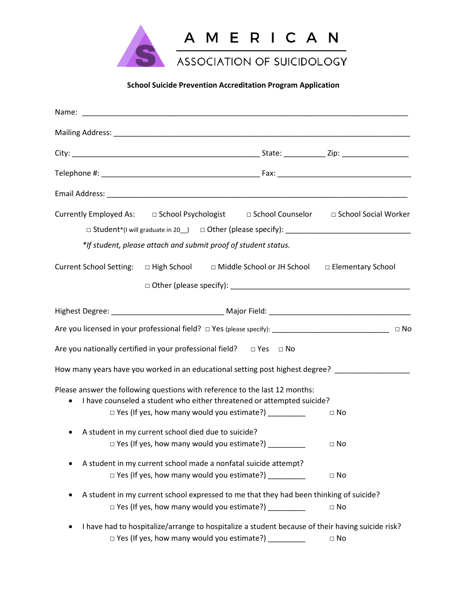

# **School Suicide Prevention Accreditation Program Application**

| Currently Employed As: □ School Psychologist □ School Counselor □ School Social Worker<br>*If student, please attach and submit proof of student status.           |              |
|--------------------------------------------------------------------------------------------------------------------------------------------------------------------|--------------|
| Current School Setting: □ High School □ Middle School or JH School □ Elementary School                                                                             |              |
|                                                                                                                                                                    |              |
| Are you licensed in your professional field? □ Yes (please specify): ___________________________________ □ No                                                      |              |
| Are you nationally certified in your professional field? $\Box$ Yes $\Box$ No                                                                                      |              |
| How many years have you worked in an educational setting post highest degree? _________________                                                                    |              |
| Please answer the following questions with reference to the last 12 months:<br>I have counseled a student who either threatened or attempted suicide?<br>$\bullet$ |              |
| $\Box$ Yes (If yes, how many would you estimate?) __________                                                                                                       | $\Box$ No    |
| A student in my current school died due to suicide?<br>$\bullet$<br>$\Box$ Yes (If yes, how many would you estimate?)                                              | $\Box$ No    |
| A student in my current school made a nonfatal suicide attempt?<br>□ Yes (If yes, how many would you estimate?) ___________                                        | $\square$ No |
| A student in my current school expressed to me that they had been thinking of suicide?<br>□ Yes (If yes, how many would you estimate?) _________                   | $\square$ No |
| I have had to hospitalize/arrange to hospitalize a student because of their having suicide risk?<br>□ Yes (If yes, how many would you estimate?) _________         | $\square$ No |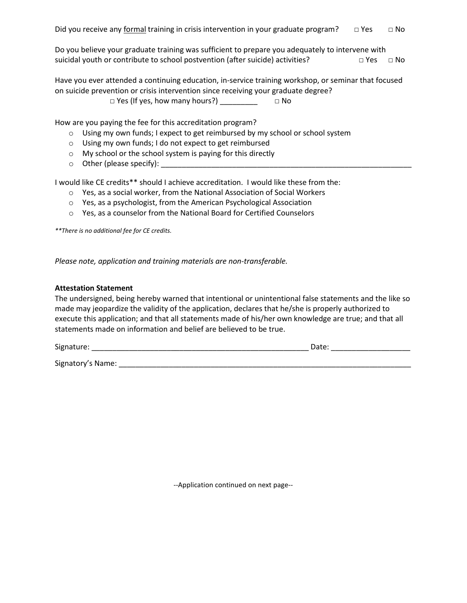Do you believe your graduate training was sufficient to prepare you adequately to intervene with suicidal youth or contribute to school postvention (after suicide) activities?  $\Box$  Yes  $\Box$  No

Have you ever attended a continuing education, in-service training workshop, or seminar that focused on suicide prevention or crisis intervention since receiving your graduate degree?  $\square$  Yes (If yes, how many hours?)  $\square$   $\square$ 

How are you paying the fee for this accreditation program?

- o Using my own funds; I expect to get reimbursed by my school or school system
- o Using my own funds; I do not expect to get reimbursed
- o My school or the school system is paying for this directly
- $\circ$  Other (please specify):

I would like CE credits\*\* should I achieve accreditation. I would like these from the:

- o Yes, as a social worker, from the National Association of Social Workers
- o Yes, as a psychologist, from the American Psychological Association
- o Yes, as a counselor from the National Board for Certified Counselors

*\*\*There is no additional fee for CE credits.*

*Please note, application and training materials are non-transferable.* 

#### **Attestation Statement**

The undersigned, being hereby warned that intentional or unintentional false statements and the like so made may jeopardize the validity of the application, declares that he/she is properly authorized to execute this application; and that all statements made of his/her own knowledge are true; and that all statements made on information and belief are believed to be true.

| $\ddot{\phantom{1}}$<br>Sig.<br>____ | $-$<br>- - - - - |
|--------------------------------------|------------------|
|                                      |                  |

Signatory's Name: \_\_\_\_\_\_\_\_\_\_\_\_\_\_\_\_\_\_\_\_\_\_\_\_\_\_\_\_\_\_\_\_\_\_\_\_\_\_\_\_\_\_\_\_\_\_\_\_\_\_\_\_\_\_\_\_\_\_\_\_\_\_\_\_\_\_\_\_\_\_

--Application continued on next page--